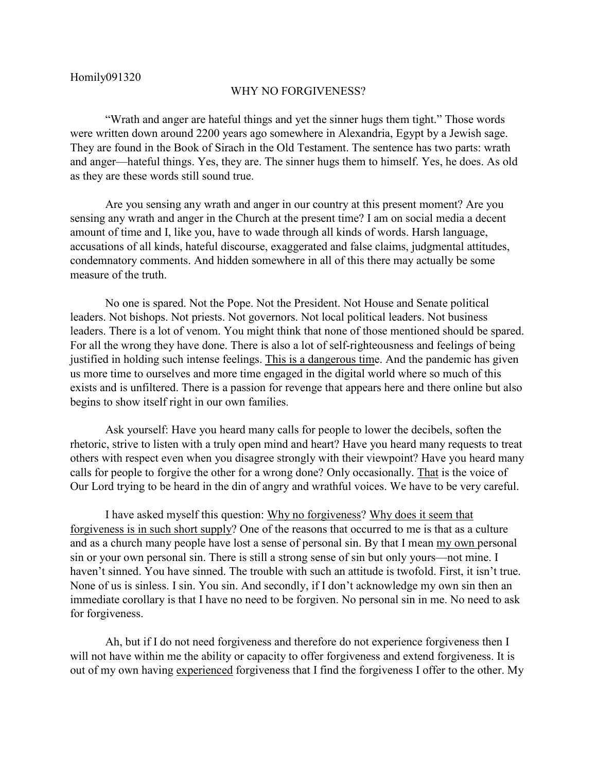## WHY NO FORGIVENESS?

"Wrath and anger are hateful things and yet the sinner hugs them tight." Those words were written down around 2200 years ago somewhere in Alexandria, Egypt by a Jewish sage. They are found in the Book of Sirach in the Old Testament. The sentence has two parts: wrath and anger—hateful things. Yes, they are. The sinner hugs them to himself. Yes, he does. As old as they are these words still sound true.

Are you sensing any wrath and anger in our country at this present moment? Are you sensing any wrath and anger in the Church at the present time? I am on social media a decent amount of time and I, like you, have to wade through all kinds of words. Harsh language, accusations of all kinds, hateful discourse, exaggerated and false claims, judgmental attitudes, condemnatory comments. And hidden somewhere in all of this there may actually be some measure of the truth.

No one is spared. Not the Pope. Not the President. Not House and Senate political leaders. Not bishops. Not priests. Not governors. Not local political leaders. Not business leaders. There is a lot of venom. You might think that none of those mentioned should be spared. For all the wrong they have done. There is also a lot of self-righteousness and feelings of being justified in holding such intense feelings. This is a dangerous time. And the pandemic has given us more time to ourselves and more time engaged in the digital world where so much of this exists and is unfiltered. There is a passion for revenge that appears here and there online but also begins to show itself right in our own families.

Ask yourself: Have you heard many calls for people to lower the decibels, soften the rhetoric, strive to listen with a truly open mind and heart? Have you heard many requests to treat others with respect even when you disagree strongly with their viewpoint? Have you heard many calls for people to forgive the other for a wrong done? Only occasionally. That is the voice of Our Lord trying to be heard in the din of angry and wrathful voices. We have to be very careful.

I have asked myself this question: Why no forgiveness? Why does it seem that forgiveness is in such short supply? One of the reasons that occurred to me is that as a culture and as a church many people have lost a sense of personal sin. By that I mean my own personal sin or your own personal sin. There is still a strong sense of sin but only yours—not mine. I haven't sinned. You have sinned. The trouble with such an attitude is twofold. First, it isn't true. None of us is sinless. I sin. You sin. And secondly, if I don't acknowledge my own sin then an immediate corollary is that I have no need to be forgiven. No personal sin in me. No need to ask for forgiveness.

Ah, but if I do not need forgiveness and therefore do not experience forgiveness then I will not have within me the ability or capacity to offer forgiveness and extend forgiveness. It is out of my own having experienced forgiveness that I find the forgiveness I offer to the other. My